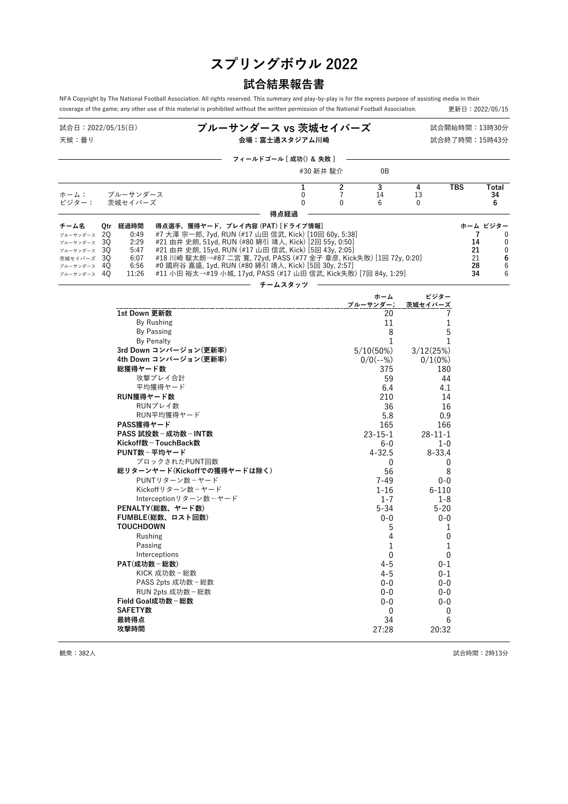# **スプリングボウル 2022**

## **試合結果報告書**

NFA Copyright by The National Football Association. All rights reserved. This summary and play-by-play is for the express purpose of assisting media in their coverage of the game; any other use of this material is prohibited without the written permission of the National Football Association. <br>更新日: 2022/05/15

| 試合日:2022/05/15(日)<br>天候:曇り              |  |                  |                                                                                                                | ブルーサンダース vs 茨城セイバーズ<br>会場:富士通スタジアム川崎 |                  |                     |                      |                  |            | 試合開始時間:13時30分<br>試合終了時間:15時43分 |
|-----------------------------------------|--|------------------|----------------------------------------------------------------------------------------------------------------|--------------------------------------|------------------|---------------------|----------------------|------------------|------------|--------------------------------|
|                                         |  |                  |                                                                                                                | フィールドゴール [ 成功() & 失敗 ]               |                  |                     |                      |                  |            |                                |
|                                         |  |                  |                                                                                                                |                                      | #30 新井 駿介        |                     | 0B                   |                  |            |                                |
| ホーム:                                    |  | ブルーサンダース         |                                                                                                                |                                      | 1<br>$\mathbf 0$ | $\overline{2}$<br>7 | $\overline{3}$<br>14 | 4<br>13          | <b>TBS</b> | Total<br>34                    |
| ビジター:                                   |  | 茨城セイバーズ          |                                                                                                                |                                      | $\mathbf 0$      | $\Omega$            | 6                    | $\mathbf{0}$     |            | 6                              |
|                                         |  |                  |                                                                                                                |                                      | 得点経過             |                     |                      |                  |            |                                |
| チーム名                                    |  | Qtr 経過時間         | 得点選手,獲得ヤード,プレイ内容 (PAT) [ドライブ情報]                                                                                |                                      |                  |                     |                      |                  |            | ホーム ビジター                       |
| ブルーサンダース 20                             |  | 0:49             | #7 大澤 宗一郎, 7yd, RUN (#17 山田 信武, Kick) [10回 60y, 5:38]<br>#21 由井 史朗, 51yd, RUN (#80 綿引 靖人, Kick) [2回 55y, 0:50] |                                      |                  |                     |                      |                  | 7          | 0                              |
| $7\nu - 4\nu$ $4 - 7$ 30<br>ブルーサンダース 30 |  | 2:29<br>5:47     | #21 由井 史朗, 15yd, RUN (#17 山田 信武, Kick) [5回 43y, 2:05]                                                          |                                      |                  |                     |                      |                  | 14<br>21   | 0<br>$\mathbf 0$               |
| 茨城セイバーズ 30                              |  | 6:07             | #18 川崎 駿太朗→#87 二宮 寛, 72yd, PASS (#77 金子 章彦, Kick失敗) [1回 72y, 0:20]                                             |                                      |                  |                     |                      |                  | 21         | 6                              |
| ブルーサンダース 40                             |  | 6:56             | #0 國府谷 嘉盛, 1yd, RUN (#80 綿引 靖人, Kick) [5回 30y, 2:57]                                                           |                                      |                  |                     |                      |                  | 28         | 6                              |
| ブルーサンダース 40                             |  | 11:26            | #11 小田 裕太→#19 小城, 17yd, PASS (#17 山田 信武, Kick失敗) [7回 84y, 1:29]                                                |                                      |                  |                     |                      |                  | 34         | 6                              |
|                                         |  |                  |                                                                                                                |                                      | チームスタッツ          |                     |                      |                  |            |                                |
|                                         |  |                  |                                                                                                                |                                      |                  |                     | ホーム                  | ビジター             |            |                                |
|                                         |  |                  |                                                                                                                |                                      |                  |                     | ブルーサンダーン             | 茨城セイバーズ          |            |                                |
|                                         |  | 1st Down 更新数     |                                                                                                                |                                      |                  |                     | 20                   | 7                |            |                                |
|                                         |  |                  | <b>By Rushing</b>                                                                                              |                                      |                  |                     | 11                   | 1                |            |                                |
|                                         |  |                  | <b>By Passing</b>                                                                                              |                                      |                  |                     | 8                    | 5                |            |                                |
|                                         |  |                  | <b>By Penalty</b>                                                                                              |                                      |                  |                     | 1                    | 1                |            |                                |
|                                         |  |                  | 3rd Down コンバージョン(更新率)                                                                                          |                                      |                  |                     | 5/10(50%)            | 3/12(25%)        |            |                                |
|                                         |  |                  | 4th Down コンバージョン(更新率)                                                                                          |                                      |                  |                     | $0/0(--%)$           | 0/1(0%)          |            |                                |
|                                         |  | 総獲得ヤード数          |                                                                                                                |                                      |                  |                     | 375                  | 180              |            |                                |
|                                         |  |                  | 攻撃プレイ合計                                                                                                        |                                      |                  |                     | 59                   | 44               |            |                                |
|                                         |  |                  | 平均獲得ヤード                                                                                                        |                                      |                  |                     | 6.4                  | 4.1              |            |                                |
|                                         |  | RUN獲得ヤード数        |                                                                                                                |                                      |                  |                     | 210                  | 14               |            |                                |
|                                         |  |                  | RUNプレイ数                                                                                                        |                                      |                  |                     | 36                   | 16               |            |                                |
|                                         |  |                  | RUN平均獲得ヤード                                                                                                     |                                      |                  |                     | 5.8                  | 0.9              |            |                                |
|                                         |  | PASS獲得ヤード        |                                                                                                                |                                      |                  |                     | 165                  | 166              |            |                                |
|                                         |  |                  | PASS 試投数 - 成功数 - INT数                                                                                          |                                      |                  |                     | $23 - 15 - 1$        | $28 - 11 - 1$    |            |                                |
|                                         |  |                  | Kickoff数-TouchBack数<br>PUNT数-平均ヤード                                                                             |                                      |                  |                     | $6-0$                | $1 - 0$          |            |                                |
|                                         |  |                  | ブロックされたPUNT回数                                                                                                  |                                      |                  |                     | $4 - 32.5$           | $8 - 33.4$       |            |                                |
|                                         |  |                  | 総リターンヤード(Kickoffでの獲得ヤードは除く)                                                                                    |                                      |                  |                     | 0                    | 0                |            |                                |
|                                         |  |                  | PUNTリターン数-ヤード                                                                                                  |                                      |                  |                     | 56                   | 8                |            |                                |
|                                         |  |                  | Kickoffリターン数-ヤード                                                                                               |                                      |                  |                     | 7-49<br>1-16         | $0 - 0$<br>6-110 |            |                                |
|                                         |  |                  | Interceptionリターン数-ヤード                                                                                          |                                      |                  |                     | $1 - 7$              | 1-8              |            |                                |
|                                         |  |                  | PENALTY(総数、ヤード数)                                                                                               |                                      |                  |                     | 5-34                 | $5 - 20$         |            |                                |
|                                         |  |                  | FUMBLE(総数、ロスト回数)                                                                                               |                                      |                  |                     | $0 - 0$              | 0-0              |            |                                |
|                                         |  | <b>TOUCHDOWN</b> |                                                                                                                |                                      |                  |                     | 5                    | 1                |            |                                |
|                                         |  |                  | Rushing                                                                                                        |                                      |                  |                     | 4                    | 0                |            |                                |
|                                         |  |                  | Passing                                                                                                        |                                      |                  |                     | 1                    | 1                |            |                                |
|                                         |  |                  | Interceptions                                                                                                  |                                      |                  |                     | 0                    | 0                |            |                                |
|                                         |  | PAT(成功数-総数)      |                                                                                                                |                                      |                  |                     | $4 - 5$              | $0 - 1$          |            |                                |
|                                         |  |                  | KICK 成功数-総数                                                                                                    |                                      |                  |                     | $4 - 5$              | $0 - 1$          |            |                                |
|                                         |  |                  | PASS 2pts 成功数 - 総数                                                                                             |                                      |                  |                     | $0-0$                | $0 - 0$          |            |                                |
|                                         |  |                  | RUN 2pts 成功数 - 総数                                                                                              |                                      |                  |                     | $0 - 0$              | $0 - 0$          |            |                                |
|                                         |  |                  | Field Goal成功数-総数                                                                                               |                                      |                  |                     | 0-0                  | 0-0              |            |                                |
|                                         |  | <b>SAFETY数</b>   |                                                                                                                |                                      |                  |                     | 0                    | 0                |            |                                |
|                                         |  | 最終得点             |                                                                                                                |                                      |                  |                     | 34                   | 6                |            |                                |
|                                         |  | 攻撃時間             |                                                                                                                |                                      |                  |                     | 27:28                | 20:32            |            |                                |

- 観衆:382人 または、おもしろんだと思います。<br>そのようには、このように、このように、このように、おもしろんだ。<br>おもしろんだと思います。 試合時間:2時13分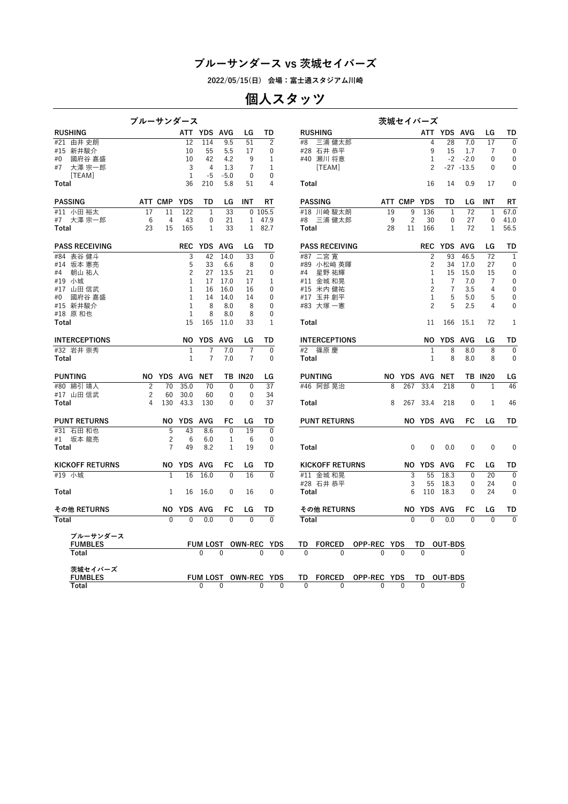**2022/05/15(日) 会場:富士通スタジアム川崎**

# **個人スタッツ**

| <b>RUSHING</b><br>ATT YDS AVG<br>LG<br>TD<br><b>RUSHING</b><br>ATT YDS AVG                                                                                               |                                   |
|--------------------------------------------------------------------------------------------------------------------------------------------------------------------------|-----------------------------------|
|                                                                                                                                                                          | LG<br>TD                          |
| $\overline{c}$<br>12<br>114<br>9.5<br>51<br>#8<br>三浦 健太郎<br>28<br>7.0<br>#21 由井 史朗<br>4                                                                                  | 17<br>$\mathbf{0}$                |
| 9<br>#15 新井駿介<br>#28 石井 恭平<br>10<br>55<br>5.5<br>17<br>0<br>15<br>1.7                                                                                                    | $\mathbf 0$<br>7                  |
| 42<br>4.2<br>#40 瀬川 将意<br>$-2$<br>$-2.0$<br>國府谷 嘉盛<br>10<br>9<br>1<br>1<br>#0                                                                                            | $\mathbf 0$<br>$\mathbf{0}$       |
| $\overline{7}$<br>大澤 宗一郎<br>3<br>4<br>1.3<br>$\mathbf{1}$<br>[TEAM]<br>2<br>$-27 - 13.5$<br>#7                                                                           | $\mathbf{0}$<br>$\mathbf{0}$      |
| $\mathbf{1}$<br>$-5.0$<br>[TEAM]<br>-5<br>0<br>0<br>4                                                                                                                    | $\mathbf{0}$                      |
| 36<br>210<br>5.8<br>51<br>16<br>14<br>0.9<br>Total<br>Total                                                                                                              | 17                                |
| <b>PASSING</b><br>ATT CMP YDS<br><b>YDS</b><br>LG<br>INT<br>RT<br><b>PASSING</b><br>ATT CMP<br>TD<br>TD<br>LG                                                            | INT<br>RT                         |
| 122<br>$\overline{33}$<br>$\overline{72}$<br>#11 小田裕太<br>17<br>11<br>$\mathbf{0}$<br>105.5<br>#18 川崎 駿太朗<br>19<br>9<br>136<br>1<br>1                                     | 67.0<br>$\mathbf{1}$              |
| $\overline{c}$<br>6<br>9<br>#7 大澤 宗一郎<br>4<br>43<br>0<br>21<br>$\mathbf{1}$<br>47.9<br>#8 三浦 健太郎<br>30<br>$\mathbf 0$<br>27                                              | 0<br>41.0                         |
| 23<br>15<br>165<br>$\mathbf{1}$<br>33<br>$\mathbf{1}$<br>82.7<br>28<br>11<br>166<br>$\mathbf{1}$<br>72<br>Total<br>Total                                                 | $\mathbf{1}$<br>56.5              |
| <b>PASS RECEIVING</b><br>REC YDS AVG<br>LG<br>TD<br><b>PASS RECEIVING</b><br><b>REC YDS AVG</b>                                                                          | LG<br>TD                          |
| $\overline{3}$<br>42<br>14.0<br>$\overline{0}$<br>#87 二宮寛<br>$\overline{2}$<br>93<br>46.5<br>表谷 健斗<br>33<br>#84                                                          | $\overline{72}$<br>$\overline{1}$ |
| 5<br>$\overline{c}$<br>#14 坂本 憲亮<br>33<br>6.6<br>8<br>$\mathbf{0}$<br>#89 小松﨑 英暉<br>34<br>17.0                                                                           | $\mathbf{0}$<br>27                |
| $\overline{2}$<br>朝山 祐人<br>27<br>13.5<br>21<br>0<br>#4<br>星野 祐輝<br>1<br>15<br>15.0<br>#4                                                                                 | $\mathbf 0$<br>15                 |
| 17.0<br>17<br>#11 金城 和晃<br>7<br>7.0<br>#19 小城<br>1<br>17<br>1<br>1                                                                                                       | 0<br>7                            |
| 2<br>#17 山田信武<br>1<br>16<br>16.0<br>$\mathbf{0}$<br>#15 米内健祐<br>7<br>3.5<br>16                                                                                           | $\mathbf 0$<br>4                  |
| $\mathbf{1}$<br>14.0<br>5<br>#0<br>國府谷 嘉盛<br>14<br>14<br>0<br>#17 玉井 創平<br>1<br>5.0                                                                                      | 5<br>$\mathbf 0$                  |
| $\overline{2}$<br>5<br>2.5<br>#15 新井駿介<br>8<br>8.0<br>8<br>$\mathbf{0}$<br>#83 大塚 一憲<br>1                                                                                | $\mathbf{0}$<br>4                 |
| #18 原 和也<br>1<br>8<br>8.0<br>8<br>0                                                                                                                                      |                                   |
| 15<br>$\mathbf{1}$<br>Total<br>165<br>11.0<br>33<br>Total<br>11<br>166<br>15.1                                                                                           | 72<br>1                           |
| <b>INTERCEPTIONS</b><br>ΝO<br>YDS AVG<br>LG<br>TD<br><b>INTERCEPTIONS</b><br>ΝO<br><b>YDS</b><br>AVG                                                                     | LG<br>TD                          |
| #32 岩井 崇秀<br>$\mathbf{1}$<br>7<br>7.0<br>$\overline{7}$<br>$\mathbf{0}$<br>#2<br>篠原 慶<br>$\mathbf{1}$<br>8<br>8.0                                                        | $\overline{0}$<br>8               |
| 7.0<br>$\overline{7}$<br>$\mathbf{0}$<br>8<br>$\mathbf{1}$<br>7<br>$\mathbf{1}$<br>8.0<br>Total<br>Total                                                                 | 8<br>$\mathbf{0}$                 |
|                                                                                                                                                                          |                                   |
| <b>PUNTING</b><br>NO YDS AVG NET<br><b>PUNTING</b><br><b>TB IN20</b><br>LG<br>NO YDS AVG NET<br><b>TB IN20</b>                                                           | LG                                |
| #80 綿引 靖人<br>35.0<br>37<br>$\overline{c}$<br>70<br>70<br>$\mathbf 0$<br>$\mathbf 0$<br>#46 阿部 晃治<br>267<br>33.4<br>218<br>$\Omega$<br>8                                  | 46<br>$\mathbf{1}$                |
| $\overline{c}$<br>30.0<br>$\mathbf 0$<br>34<br>#17 山田信武<br>60<br>60<br>0                                                                                                 |                                   |
| 43.3<br>37<br>4<br>130<br>130<br>$\mathbf{0}$<br>0<br>267<br>33.4<br>218<br>$\mathbf{0}$<br>Total<br>Total<br>8                                                          | 1<br>46                           |
| <b>PUNT RETURNS</b><br>AVG<br><b>PUNT RETURNS</b><br>NO YDS<br>FC<br>TD<br>NO YDS AVG<br>FC<br>LG                                                                        | TD<br>LG                          |
| #31 石田和也<br>5<br>43<br>$\mathbf{0}$<br>19<br>$\mathbf{0}$<br>8.6                                                                                                         |                                   |
| $\overline{c}$<br>#1 坂本 龍亮<br>6<br>6.0<br>1<br>6<br>0                                                                                                                    |                                   |
| 7<br>49<br>8.2<br>1<br>19<br>$\mathbf{0}$<br>0<br>0.0<br>$\mathbf{0}$<br>Total<br>Total<br>$\mathbf{0}$                                                                  | 0<br>$\mathbf 0$                  |
|                                                                                                                                                                          |                                   |
| NO YDS<br>AVG<br>FC<br><b>KICKOFF RETURNS</b><br>NO YDS AVG<br><b>KICKOFF RETURNS</b><br>LG<br>TD<br>FC                                                                  | TD<br>LG                          |
| 55<br>18.3<br>#19 小城<br>1<br>16<br>16.0<br>$\mathbf{0}$<br>16<br>$\mathbf{0}$<br>#11 金城 和晃<br>3<br>$\mathbf{0}$                                                          | $\overline{20}$<br>$\overline{0}$ |
| #28 石井 恭平<br>3<br>55<br>18.3<br>$\mathbf{0}$                                                                                                                             | 24<br>$\mathbf{0}$                |
| 110<br>18.3<br>Total<br>1<br>16<br>16.0<br>0<br>16<br>0<br>Total<br>6<br>$\mathbf{0}$                                                                                    | 24<br>$\mathbf 0$                 |
| その他 RETURNS<br>NO YDS AVG<br>FC<br>TD<br>その他 RETURNS<br>NO YDS AVG<br>FC<br>LG                                                                                           | LG<br>TD                          |
| Total<br>$\overline{0}$<br>$\overline{0}$<br>0.0<br>$\overline{0}$<br>$\overline{0}$<br>$\overline{0}$<br>$\overline{0}$<br>0.0<br>$\mathbf{0}$<br>Total<br>$\mathbf{0}$ | $\overline{0}$<br>$\overline{0}$  |
|                                                                                                                                                                          |                                   |
| ブルーサンダース                                                                                                                                                                 |                                   |
| <b>FUMBLES</b><br>FUM LOST OWN-REC YDS<br>TD<br><b>FORCED</b><br>OPP-REC YDS<br>TD<br><b>OUT-BDS</b>                                                                     |                                   |
| $\Omega$<br>$\Omega$<br>Total<br>$\Omega$<br>U<br>$\Omega$<br>$\Omega$<br>$\Omega$<br>$\Omega$                                                                           |                                   |
| 茨城セイバーズ                                                                                                                                                                  |                                   |
| <b>FORCED</b><br>OPP-REC YDS<br><b>FUMBLES</b><br>FUM LOST OWN-REC YDS<br>TD<br>TD<br>OUT-BDS                                                                            |                                   |
| Total<br>$\mathbf{0}$<br>$\mathbf{0}$<br>$\Omega$<br>$\mathbf{0}$<br>$\Omega$<br>$\mathbf{0}$<br>$\mathbf{0}$<br>$\Omega$<br>0<br>$\Omega$                               |                                   |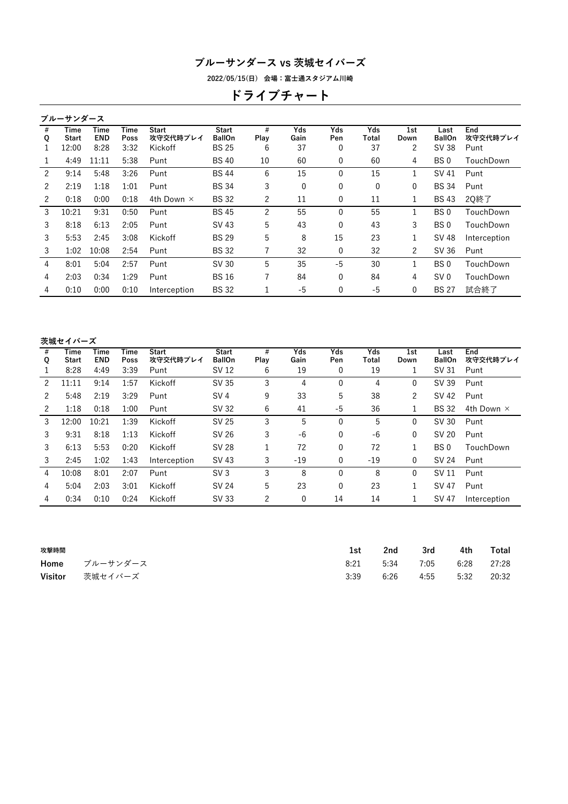**2022/05/15(日) 会場:富士通スタジアム川崎**

# **ドライブチャート**

|               | ブルーサンダース      |                    |              |                          |                               |           |             |              |              |             |                       |                 |
|---------------|---------------|--------------------|--------------|--------------------------|-------------------------------|-----------|-------------|--------------|--------------|-------------|-----------------------|-----------------|
| #<br>Q        | Time<br>Start | Time<br><b>END</b> | Time<br>Poss | <b>Start</b><br>攻守交代時プレイ | <b>Start</b><br><b>BallOn</b> | #<br>Play | Yds<br>Gain | Yds<br>Pen   | Yds<br>Total | 1st<br>Down | Last<br><b>BallOn</b> | End<br>攻守交代時プレイ |
| 1             | 12:00         | 8:28               | 3:32         | Kickoff                  | <b>BS 25</b>                  | 6         | 37          | 0            | 37           | 2           | SV 38                 | Punt            |
| 1             | 4:49          | 11:11              | 5:38         | Punt                     | <b>BS40</b>                   | 10        | 60          | $\mathbf{0}$ | 60           | 4           | BS 0                  | TouchDown       |
| $\mathcal{P}$ | 9:14          | 5:48               | 3:26         | Punt                     | <b>BS44</b>                   | 6         | 15          | $\mathbf{0}$ | 15           | 1           | SV 41                 | Punt            |
| 2             | 2:19          | 1:18               | 1:01         | Punt                     | <b>BS 34</b>                  | 3         | 0           | 0            | 0            | 0           | <b>BS 34</b>          | Punt            |
| 2             | 0:18          | 0:00               | 0:18         | 4th Down $\times$        | <b>BS32</b>                   | 2         | 11          | 0            | 11           | 1           | <b>BS43</b>           | 20終了            |
| 3             | 10:21         | 9:31               | 0:50         | Punt                     | <b>BS45</b>                   | 2         | 55          | 0            | 55           | 1           | BS 0                  | TouchDown       |
| 3             | 8:18          | 6:13               | 2:05         | Punt                     | SV 43                         | 5         | 43          | $\Omega$     | 43           | 3           | BS 0                  | TouchDown       |
| 3             | 5:53          | 2:45               | 3:08         | Kickoff                  | <b>BS 29</b>                  | 5         | 8           | 15           | 23           | 1           | SV 48                 | Interception    |
| 3             | 1:02          | 10:08              | 2:54         | Punt                     | <b>BS32</b>                   | 7         | 32          | 0            | 32           | 2           | SV 36                 | Punt            |
| 4             | 8:01          | 5:04               | 2:57         | Punt                     | SV 30                         | 5         | 35          | $-5$         | 30           | 1           | BS 0                  | TouchDown       |
| 4             | 2:03          | 0:34               | 1:29         | Punt                     | <b>BS16</b>                   | 7         | 84          | $\mathbf{0}$ | 84           | 4           | SV <sub>0</sub>       | TouchDown       |
| 4             | 0:10          | 0:00               | 0:10         | Interception             | <b>BS32</b>                   | 1         | $-5$        | 0            | -5           | 0           | <b>BS 27</b>          | 試合終了            |
|               |               |                    |              |                          |                               |           |             |              |              |             |                       |                 |

#### **茨城セイバーズ**

| #<br>Q | Time<br>Start | Time<br><b>END</b> | Time<br>Poss | <b>Start</b><br>攻守交代時プレイ | <b>Start</b><br><b>BallOn</b> | #<br>Play | Yds<br>Gain | Yds<br>Pen   | Yds<br>Total | 1st<br>Down | Last<br><b>BallOn</b> | End<br>攻守交代時プレイ   |
|--------|---------------|--------------------|--------------|--------------------------|-------------------------------|-----------|-------------|--------------|--------------|-------------|-----------------------|-------------------|
|        | 8:28          | 4:49               | 3:39         | Punt                     | SV 12                         | 6         | 19          | 0            | 19           |             | SV 31                 | Punt              |
| 2      | 11:11         | 9:14               | 1:57         | Kickoff                  | SV 35                         | 3         | 4           | $\Omega$     | 4            | 0           | SV 39                 | Punt              |
| 2      | 5:48          | 2:19               | 3:29         | Punt                     | SV <sub>4</sub>               | 9         | 33          | 5            | 38           | 2           | SV 42                 | Punt              |
| 2      | 1:18          | 0:18               | 1:00         | Punt                     | SV 32                         | 6         | 41          | -5           | 36           |             | <b>BS32</b>           | 4th Down $\times$ |
| 3      | 12:00         | 10:21              | 1:39         | Kickoff                  | SV 25                         | 3         | 5           | $\Omega$     | 5            | 0           | SV 30                 | Punt              |
| 3      | 9:31          | 8:18               | 1:13         | Kickoff                  | SV 26                         | 3         | $-6$        | 0            | $-6$         | 0           | SV 20                 | Punt              |
| 3      | 6:13          | 5:53               | 0:20         | Kickoff                  | <b>SV 28</b>                  |           | 72          | $\mathbf{0}$ | 72           |             | BS 0                  | TouchDown         |
| 3      | 2:45          | 1:02               | 1:43         | Interception             | SV 43                         | 3         | $-19$       | $\mathbf{0}$ | $-19$        | 0           | SV 24                 | Punt              |
| 4      | 10:08         | 8:01               | 2:07         | Punt                     | SV3                           | 3         | 8           | $\mathbf{0}$ | 8            | 0           | SV 11                 | Punt              |
| 4      | 5:04          | 2:03               | 3:01         | Kickoff                  | SV 24                         | 5         | 23          | 0            | 23           |             | <b>SV 47</b>          | Punt              |
| 4      | 0:34          | 0:10               | 0:24         | Kickoff                  | SV 33                         | 2         | 0           | 14           | 14           |             | SV 47                 | Interception      |
|        |               |                    |              |                          |                               |           |             |              |              |             |                       |                   |

| 攻撃時間    |               | 1st  | 2nd  | 3rd  | 4th  | Total |
|---------|---------------|------|------|------|------|-------|
|         | Home ブルーサンダース | 8:21 | 5:34 | 7:05 | 6:28 | 27:28 |
| Visitor | 茨城セイバーズ       | 3:39 | 6:26 | 4:55 | 5:32 | 20:32 |
|         |               |      |      |      |      |       |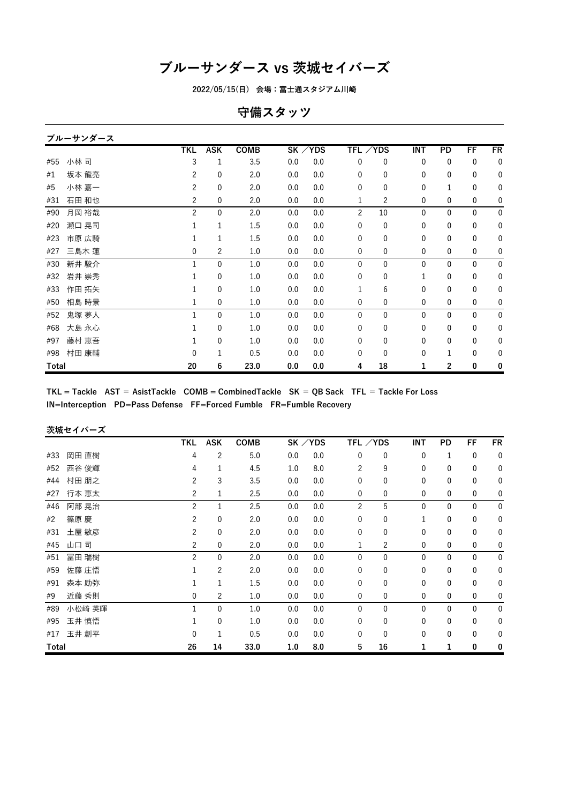**2022/05/15(日) 会場:富士通スタジアム川崎**

## **守備スタッツ**

#### **ブルーサンダース**

|       |       | <b>TKL</b>     | <b>ASK</b>  | COMB |     | SK / YDS | TFL /YDS      |                | INT          | PD           | FF           | FR          |
|-------|-------|----------------|-------------|------|-----|----------|---------------|----------------|--------------|--------------|--------------|-------------|
| #55   | 小林 司  | 3              | 1           | 3.5  | 0.0 | 0.0      | 0             | $\mathbf 0$    | $\mathbf 0$  | $\mathbf 0$  | $\mathbf 0$  | $\mathbf 0$ |
| #1    | 坂本 龍亮 | $\overline{2}$ | $\mathbf 0$ | 2.0  | 0.0 | 0.0      | 0             | 0              | 0            | 0            | $\mathbf 0$  | $\mathbf 0$ |
| #5    | 小林 嘉一 | $\overline{2}$ | $\mathbf 0$ | 2.0  | 0.0 | 0.0      | $\mathbf{0}$  | $\mathbf 0$    | 0            | $\mathbf{1}$ | $\mathbf 0$  | $\mathbf 0$ |
| #31   | 石田 和也 | 2              | 0           | 2.0  | 0.0 | 0.0      | 1             | $\overline{c}$ | 0            | 0            | $\pmb{0}$    | 0           |
| #90   | 月岡 裕哉 | $\overline{c}$ | $\mathbf 0$ | 2.0  | 0.0 | 0.0      | $\mathcal{P}$ | 10             | 0            | 0            | $\mathbf 0$  | $\mathbf 0$ |
| #20   | 瀬口 晃司 |                | 1           | 1.5  | 0.0 | 0.0      | 0             | $\mathbf 0$    | 0            | 0            | $\mathbf 0$  | $\mathbf 0$ |
| #23   | 市原 広騎 |                | 1           | 1.5  | 0.0 | 0.0      | 0             | 0              | $\mathbf{0}$ | $\mathbf{0}$ | $\mathbf 0$  | $\mathbf 0$ |
| #27   | 三島木 蓮 | 0              | 2           | 1.0  | 0.0 | 0.0      | 0             | 0              | 0            | 0            | $\mathbf 0$  | 0           |
| #30   | 新井 駿介 |                | $\mathbf 0$ | 1.0  | 0.0 | 0.0      | 0             | $\mathbf{0}$   | $\mathbf{0}$ | 0            | $\mathbf{0}$ | $\bf{0}$    |
| #32   | 岩井 崇秀 |                | $\mathbf 0$ | 1.0  | 0.0 | 0.0      | $\Omega$      | 0              | 1            | 0            | $\mathbf 0$  | 0           |
| #33   | 作田 拓矢 |                | 0           | 1.0  | 0.0 | 0.0      | 1             | 6              | 0            | 0            | $\mathbf 0$  | 0           |
| #50   | 相島 時景 |                | 0           | 1.0  | 0.0 | 0.0      | 0             | 0              | 0            | 0            | $\mathbf 0$  | 0           |
| #52   | 鬼塚 夢人 |                | 0           | 1.0  | 0.0 | 0.0      | 0             | $\mathbf 0$    | $\mathbf{0}$ | 0            | $\mathbf 0$  | $\mathbf 0$ |
| #68   | 大島 永心 |                | $\mathbf 0$ | 1.0  | 0.0 | 0.0      | 0             | $\mathbf 0$    | 0            | 0            | $\mathbf 0$  | $\mathbf 0$ |
| #97   | 藤村 恵吾 |                | 0           | 1.0  | 0.0 | 0.0      | 0             | 0              | $\mathbf{0}$ | 0            | 0            | 0           |
| #98   | 村田 康輔 | 0              | 1           | 0.5  | 0.0 | 0.0      | 0             | $\mathbf 0$    | $\mathbf 0$  | 1            | $\mathbf 0$  | 0           |
| Total |       | 20             | 6           | 23.0 | 0.0 | 0.0      | 4             | 18             | 1            | 2            | 0            | 0           |

 $TKL = Tackle$  AST = AsistTackle COMB = CombinedTackle SK = QB Sack TFL = Tackle For Loss **IN=Interception PD=Pass Defense FF=Forced Fumble FR=Fumble Recovery**

### **茨城セイバーズ**

|       |        | TKL            | <b>ASK</b>     | <b>COMB</b> |     | SK / YDS | TFL /YDS       |              | INT          | PD           | FF           | FR               |
|-------|--------|----------------|----------------|-------------|-----|----------|----------------|--------------|--------------|--------------|--------------|------------------|
| #33   | 岡田 直樹  | 4              | 2              | 5.0         | 0.0 | 0.0      | 0              | 0            | 0            | 1            | $\mathbf 0$  | $\mathbf 0$      |
| #52   | 西谷 俊輝  | 4              | $\mathbf{1}$   | 4.5         | 1.0 | 8.0      | $\overline{c}$ | 9            | 0            | 0            | 0            | 0                |
| #44   | 村田 朋之  | 2              | 3              | 3.5         | 0.0 | 0.0      | 0              | 0            | 0            | 0            | 0            | 0                |
| #27   | 行本 恵太  | 2              | 1              | 2.5         | 0.0 | 0.0      | $\mathbf 0$    | 0            | 0            | $\mathbf 0$  | 0            | 0                |
| #46   | 阿部 晃治  | 2              | 1              | 2.5         | 0.0 | 0.0      | $\overline{c}$ | 5            | $\mathbf 0$  | $\mathbf{0}$ | $\mathbf 0$  | $\mathbf 0$      |
| #2    | 篠原 慶   | $\overline{2}$ | $\mathbf 0$    | 2.0         | 0.0 | 0.0      | $\mathbf{0}$   | $\mathbf{0}$ | $\mathbf{1}$ | 0            | $\mathbf 0$  | 0                |
| #31   | 土屋 敏彦  | 2              | $\mathbf 0$    | 2.0         | 0.0 | 0.0      | $\mathbf{0}$   | $\mathbf{0}$ | 0            | 0            | $\mathbf 0$  | 0                |
| #45   | 山口 司   | 2              | 0              | 2.0         | 0.0 | 0.0      | 1              | 2            | 0            | $\mathbf 0$  | 0            | 0                |
| #51   | 冨田 瑞樹  | $\overline{c}$ | $\mathbf 0$    | 2.0         | 0.0 | 0.0      | $\mathbf{0}$   | $\mathbf{0}$ | $\mathbf{0}$ | $\mathbf{0}$ | $\mathbf{0}$ | $\mathbf 0$      |
| #59   | 佐藤 庄悟  |                | 2              | 2.0         | 0.0 | 0.0      | 0              | 0            | 0            | 0            | $\mathbf 0$  | 0                |
| #91   | 森本 励弥  |                | 1              | 1.5         | 0.0 | 0.0      | $\mathbf 0$    | 0            | 0            | 0            | $\mathbf 0$  | 0                |
| #9    | 近藤 秀則  | 0              | $\overline{c}$ | 1.0         | 0.0 | 0.0      | $\mathbf 0$    | 0            | 0            | $\mathbf 0$  | 0            | 0                |
| #89   | 小松崎 英暉 | 1              | $\mathbf 0$    | 1.0         | 0.0 | 0.0      | $\mathbf{0}$   | $\Omega$     | $\Omega$     | $\mathbf{0}$ | $\mathbf 0$  | $\boldsymbol{0}$ |
| #95   | 玉井 慎悟  |                | $\mathbf 0$    | 1.0         | 0.0 | 0.0      | $\mathbf{0}$   | $\mathbf{0}$ | 0            | 0            | $\mathbf{0}$ | 0                |
| #17   | 玉井 創平  | $\mathbf 0$    | 1              | 0.5         | 0.0 | 0.0      | 0              | 0            | 0            | 0            | 0            | 0                |
| Total |        | 26             | 14             | 33.0        | 1.0 | 8.0      | 5              | 16           | 1            | 1            | 0            | 0                |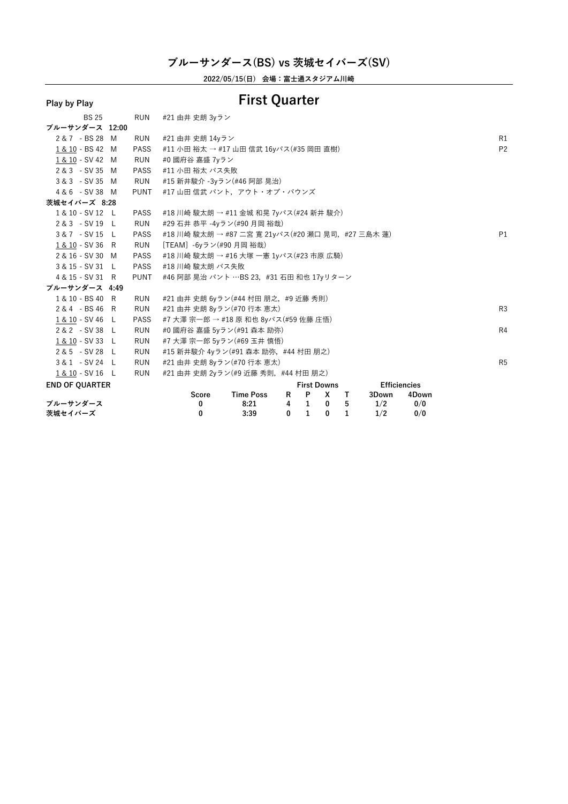**2022/05/15(日) 会場:富士通スタジアム川崎**

# **Play by Play First Quarter**

| <b>BS 25</b>          | <b>RUN</b>  | #21 由井 史朗 3yラン                                    |                  |              |                    |              |      |                     |       |                |
|-----------------------|-------------|---------------------------------------------------|------------------|--------------|--------------------|--------------|------|---------------------|-------|----------------|
| ブルーサンダース 12:00        |             |                                                   |                  |              |                    |              |      |                     |       |                |
| 2 & 7 - BS 28 M       | <b>RUN</b>  | #21 由井 史朗 14yラン                                   |                  |              |                    |              |      |                     |       | R1             |
| 1 & 10 - BS 42 M      | <b>PASS</b> | #11 小田 裕太 → #17 山田 信武 16yパス(#35 岡田 直樹)            |                  |              |                    |              |      |                     |       | P <sub>2</sub> |
| 1 & 10 - SV 42 M      | RUN         | #0 國府谷 嘉盛 7vラン                                    |                  |              |                    |              |      |                     |       |                |
| 2 & 3 - SV 35 M       | <b>PASS</b> | #11 小田 裕太 パス失敗                                    |                  |              |                    |              |      |                     |       |                |
| 3 & 3 - SV 35 M       | RUN         | #15 新井駿介 -3yラン(#46 阿部 晃治)                         |                  |              |                    |              |      |                     |       |                |
| 4 & 6 - SV 38 M       | <b>PUNT</b> | #17 山田 信武 パント,アウト・オブ・バウンズ                         |                  |              |                    |              |      |                     |       |                |
| 茨城セイバーズ 8:28          |             |                                                   |                  |              |                    |              |      |                     |       |                |
| 1 & 10 - SV 12 L      | <b>PASS</b> | #18 川崎 駿太朗 → #11 金城 和晃 7yパス(#24 新井 駿介)            |                  |              |                    |              |      |                     |       |                |
| 2 & 3 - SV 19 L       | <b>RUN</b>  | #29 石井 恭平 -4yラン(#90 月岡 裕哉)                        |                  |              |                    |              |      |                     |       |                |
| 3&7 - SV 15 L         | <b>PASS</b> | #18 川崎 駿太朗 → #87 二宮 寛 21yパス(#20 瀬口 晃司, #27 三島木 蓮) |                  |              |                    |              |      |                     |       | P1             |
| 1 & 10 - SV 36 R      | RUN         | 「TEAM】-6yラン(#90 月岡 裕哉)                            |                  |              |                    |              |      |                     |       |                |
| 2 & 16 - SV 30 M      | PASS        | #18 川崎 駿太朗 → #16 大塚 一憲 1yパス(#23 市原 広騎)            |                  |              |                    |              |      |                     |       |                |
| 3 & 15 - SV 31 L      | <b>PASS</b> | #18 川崎 駿太朗 パス失敗                                   |                  |              |                    |              |      |                     |       |                |
| 4 & 15 - SV 31 R      | <b>PUNT</b> | #46 阿部 晃治 パント …BS 23, #31 石田 和也 17yリターン           |                  |              |                    |              |      |                     |       |                |
| ブルーサンダース 4:49         |             |                                                   |                  |              |                    |              |      |                     |       |                |
| 1 & 10 - BS 40 R      | RUN         | #21 由井 史朗 6yラン(#44 村田 朋之, #9 近藤 秀則)               |                  |              |                    |              |      |                     |       |                |
| 2 & 4 - BS 46 R       | RUN         | #21 由井 史朗 8yラン(#70 行本 恵太)                         |                  |              |                    |              |      |                     |       | R <sub>3</sub> |
| 1 & 10 - SV 46 L      | <b>PASS</b> | #7 大澤 宗一郎 → #18 原 和也 8yパス(#59 佐藤 庄悟)              |                  |              |                    |              |      |                     |       |                |
| 2 & 2 - SV 38 L       | <b>RUN</b>  | #0 國府谷 嘉盛 5yラン(#91 森本 励弥)                         |                  |              |                    |              |      |                     |       | R <sub>4</sub> |
| 1 & 10 - SV 33 L      | RUN         | #7 大澤宗一郎 5yラン(#69 玉井慎悟)                           |                  |              |                    |              |      |                     |       |                |
| 2 & 5 - SV 28 L       | RUN         | #15 新井駿介 4yラン(#91 森本 励弥, #44 村田 朋之)               |                  |              |                    |              |      |                     |       |                |
| 3 & 1 - SV 24 L       | RUN         | #21 由井 史朗 8yラン(#70 行本 恵太)                         |                  |              |                    |              |      |                     |       | R <sub>5</sub> |
| 1 & 10 - SV 16 L      | <b>RUN</b>  | #21 由井 史朗 2yラン(#9 近藤 秀則, #44 村田 朋之)               |                  |              |                    |              |      |                     |       |                |
| <b>END OF QUARTER</b> |             |                                                   |                  |              | <b>First Downs</b> |              |      | <b>Efficiencies</b> |       |                |
|                       |             | Score                                             | <b>Time Poss</b> | R            | $\mathsf{P}$       | X T          |      | 3Down               | 4Down |                |
| ブルーサンダース              |             | 0                                                 | 8:21             |              | $4 \quad 1$        | $\bf{0}$     | $-5$ | 1/2                 | 0/0   |                |
| 茨城セイバーズ               |             | 0                                                 | 3:39             | $\mathbf{0}$ | $\mathbf{1}$       | $\mathbf{0}$ | 1    | 1/2                 | 0/0   |                |
|                       |             |                                                   |                  |              |                    |              |      |                     |       |                |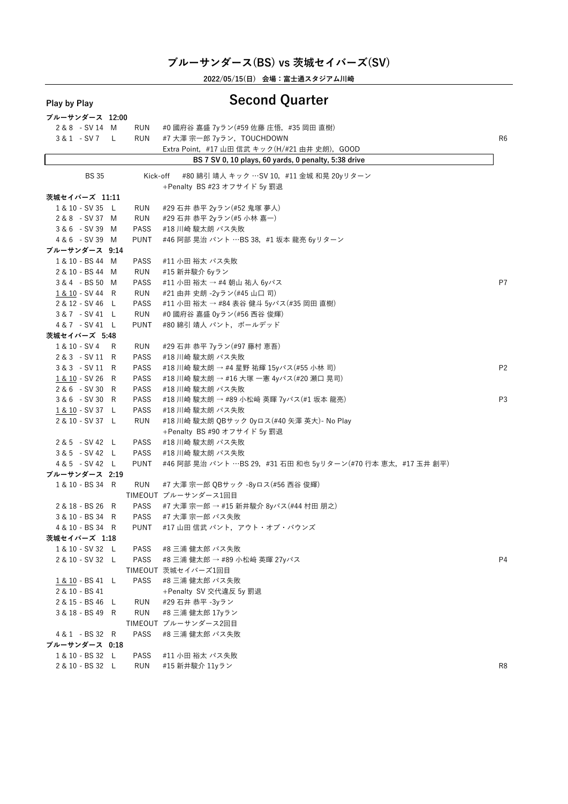| Play by Play                         |    |             | <b>Second Quarter</b>                                        |                |
|--------------------------------------|----|-------------|--------------------------------------------------------------|----------------|
| ブルーサンダース 12:00                       |    |             |                                                              |                |
| 2 & 8 - SV 14 M                      |    | RUN         | #0 國府谷 嘉盛 7yラン(#59 佐藤 庄悟,#35 岡田 直樹)                          |                |
| 3&1 - SV7                            | L. | <b>RUN</b>  | #7 大澤 宗一郎 7yラン, TOUCHDOWN                                    | R <sub>6</sub> |
|                                      |    |             | Extra Point, #17 山田 信武 キック(H/#21 由井 史朗), GOOD                |                |
|                                      |    |             | BS 7 SV 0, 10 plays, 60 yards, 0 penalty, 5:38 drive         |                |
| <b>BS 35</b>                         |    | Kick-off    | #80 綿引 靖人 キック …SV 10, #11 金城 和晃 20yリターン                      |                |
|                                      |    |             | +Penalty BS #23 オフサイド 5y 罰退                                  |                |
| 茨城セイバーズ 11:11                        |    |             |                                                              |                |
| 1 & 10 - SV 35 L                     |    | RUN         | #29 石井 恭平 2yラン(#52 鬼塚 夢人)                                    |                |
| 2 & 8 - SV 37 M                      |    | RUN         | #29 石井 恭平 2yラン(#5 小林 嘉一)                                     |                |
| 3 & 6 - SV 39 M                      |    | PASS        | #18 川崎 駿太朗 パス失敗                                              |                |
| 4 & 6 - SV 39 M                      |    | <b>PUNT</b> | #46 阿部 晃治 パント …BS 38, #1 坂本 龍亮 6yリターン                        |                |
| ブルーサンダース 9:14                        |    |             |                                                              |                |
| 1 & 10 - BS 44 M                     |    | PASS        | #11 小田 裕太 パス失敗                                               |                |
| 2 & 10 - BS 44 M                     |    | RUN         | #15 新井駿介 6yラン                                                |                |
| 3 & 4 - BS 50 M                      |    | PASS        | #11 小田 裕太 → #4 朝山 祐人 6yパス                                    | P <sub>7</sub> |
| 1 & 10 - SV 44 R                     |    | <b>RUN</b>  | #21 由井 史朗 -2yラン(#45 山口司)                                     |                |
| 2 & 12 - SV 46 L                     |    | PASS        | #11 小田 裕太 → #84 表谷 健斗 5yパス(#35 岡田 直樹)                        |                |
| 3 & 7 - SV 41 L                      |    | RUN         | #0 國府谷 嘉盛 0yラン(#56 西谷 俊輝)                                    |                |
| 4 & 7 - SV 41 L                      |    | <b>PUNT</b> | #80 綿引 靖人 パント, ボールデッド                                        |                |
| 茨城セイバーズ 5:48                         |    |             |                                                              |                |
| 1 & 10 - SV 4                        | R  | RUN         | #29 石井 恭平 7yラン(#97 藤村 恵吾)                                    |                |
| 2 & 3 - SV 11 R                      |    | PASS        | #18 川崎 駿太朗 パス失敗                                              |                |
| 3 & 3 - SV 11 R                      |    | PASS        | #18 川崎 駿太朗 → #4 星野 祐輝 15yパス(#55 小林 司)                        | P <sub>2</sub> |
| 1 & 10 - SV 26 R                     |    | PASS        | #18 川崎 駿太朗 → #16 大塚 一憲 4yパス(#20 瀬口 晃司)                       |                |
| 2 & 6 - SV 30 R                      |    | <b>PASS</b> | #18 川崎 駿太朗 パス失敗                                              |                |
| 3 & 6 - SV 30 R                      |    | PASS        | #18 川崎 駿太朗 → #89 小松﨑 英暉 7yパス(#1 坂本 龍亮)                       | P <sub>3</sub> |
| 1 & 10 - SV 37 L                     |    | <b>PASS</b> | #18 川崎 駿太朗 パス失敗                                              |                |
| 2 & 10 - SV 37 L                     |    | <b>RUN</b>  | #18 川崎 駿太朗 QBサック 0yロス(#40 矢澤 英大)- No Play                    |                |
|                                      |    |             | +Penalty BS #90 オフサイド 5y 罰退                                  |                |
| 2 & 5 - SV 42 L                      |    | <b>PASS</b> | #18 川崎 駿太朗 パス失敗                                              |                |
| 3 & 5 - SV 42 L                      |    | PASS        | #18 川崎 駿太朗 パス失敗                                              |                |
| 4 & 5 - SV 42 L                      |    | <b>PUNT</b> | #46 阿部 晃治 パント …BS 29, #31 石田 和也 5yリターン(#70 行本 恵太, #17 玉井 創平) |                |
| ブルーサンダース 2:19                        |    |             |                                                              |                |
| 1 & 10 - BS 34 R                     |    | <b>RUN</b>  | #7 大澤 宗一郎 QBサック -8yロス(#56 西谷 俊輝)                             |                |
|                                      |    |             | TIMEOUT ブルーサンダース1回目                                          |                |
| 2 & 18 - BS 26 R                     |    | <b>PASS</b> | #7 大澤 宗一郎 → #15 新井駿介 8yパス(#44 村田 朋之)                         |                |
| 3 & 10 - BS 34 R<br>4 & 10 - BS 34 R |    | PASS        | #7 大澤 宗一郎 パス失敗<br>#17 山田 信武 パント,アウト・オブ・バウンズ                  |                |
| 茨城セイバーズ 1:18                         |    | <b>PUNT</b> |                                                              |                |
| 1 & 10 - SV 32 L                     |    | PASS        | #8 三浦 健太郎 パス失敗                                               |                |
| 2 & 10 - SV 32 L                     |    | PASS        | #8 三浦 健太郎 → #89 小松﨑 英暉 27yパス                                 | P4             |
|                                      |    |             | TIMEOUT 茨城セイバーズ1回目                                           |                |
| 1 & 10 - BS 41 L                     |    | PASS        | #8 三浦 健太郎 パス失敗                                               |                |
| 2 & 10 - BS 41                       |    |             | +Penalty SV 交代違反 5y 罰退                                       |                |
| 2 & 15 - BS 46 L                     |    | RUN         | #29 石井 恭平 -3yラン                                              |                |
| 3 & 18 - BS 49 R                     |    | RUN         | #8 三浦 健太郎 17yラン                                              |                |
|                                      |    |             | TIMEOUT ブルーサンダース2回目                                          |                |
| 4 & 1 - BS 32 R                      |    | PASS        | #8 三浦 健太郎 パス失敗                                               |                |
| ブルーサンダース 0:18                        |    |             |                                                              |                |
| 1 & 10 - BS 32 L                     |    | PASS        | #11 小田 裕太 パス失敗                                               |                |
| 2 & 10 - BS 32 L                     |    | RUN         | #15 新井駿介 11yラン                                               | R8             |
|                                      |    |             |                                                              |                |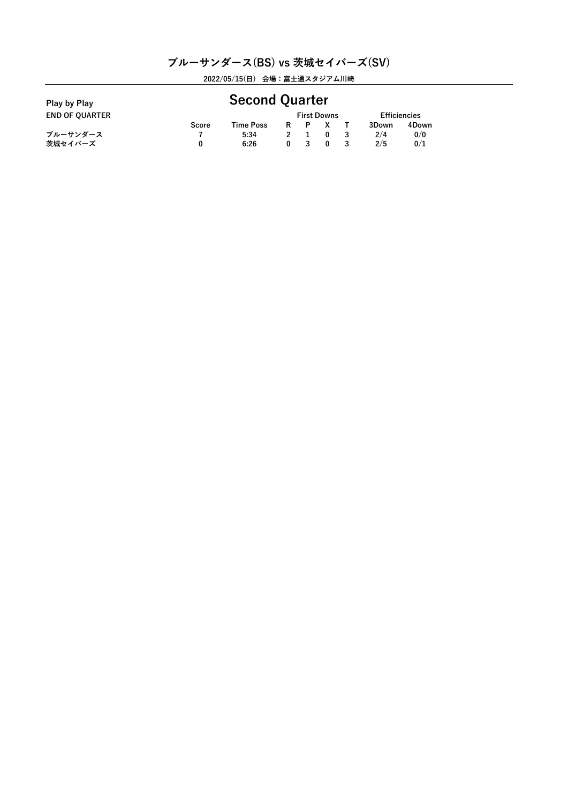| Play by Play          |       | <b>Second Quarter</b> |   |                    |                     |       |  |
|-----------------------|-------|-----------------------|---|--------------------|---------------------|-------|--|
| <b>END OF OUARTER</b> |       |                       |   | <b>First Downs</b> | <b>Efficiencies</b> |       |  |
|                       | Score | Time Poss             | R |                    | 3Down               | 4Down |  |
| ブルーサンダース              |       | 5:34                  |   |                    | 2/4                 | 0/0   |  |
| 茨城セイバーズ               | 0     | 6:26                  | 0 | $\Omega$           | 2/5                 | 0/1   |  |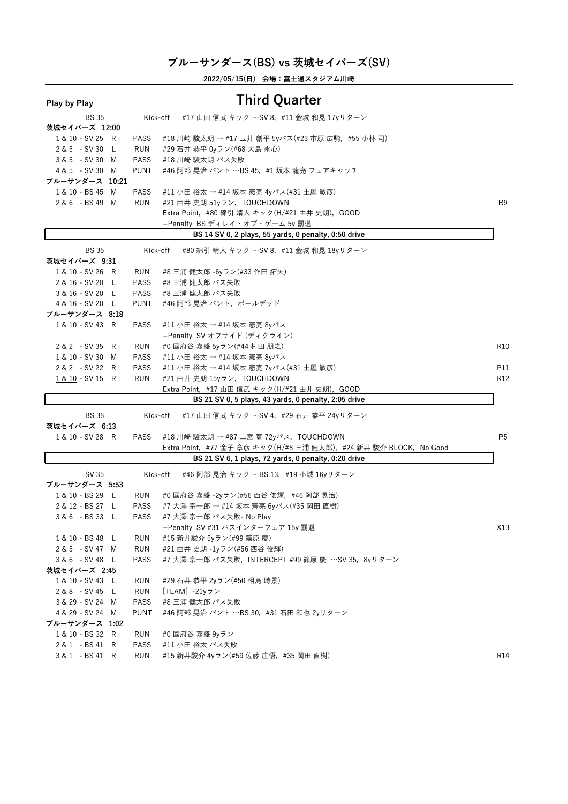| Play by Play                      |                    | <b>Third Quarter</b>                                              |                 |
|-----------------------------------|--------------------|-------------------------------------------------------------------|-----------------|
| <b>BS 35</b>                      |                    | #17 山田 信武 キック …SV 8, #11 金城 和晃 17yリターン<br>Kick-off                |                 |
| 茨城セイバーズ 12:00                     |                    |                                                                   |                 |
| 1 & 10 - SV 25 R                  | PASS               | #18 川崎 駿太朗 → #17 玉井 創平 5yパス(#23 市原 広騎,#55 小林 司)                   |                 |
| 2 & 5 - SV 30 L                   | <b>RUN</b>         | #29 石井 恭平 0yラン(#68 大島 永心)                                         |                 |
| 3 & 5 - SV 30 M                   | <b>PASS</b>        | #18 川崎 駿太朗 パス失敗                                                   |                 |
| 4 & 5 - SV 30 M                   | PUNT               | #46 阿部 晃治 パント …BS 45, #1 坂本 龍亮 フェアキャッチ                            |                 |
| ブルーサンダース 10:21                    |                    |                                                                   |                 |
| 1 & 10 - BS 45 M                  | PASS               | #11 小田 裕太 → #14 坂本 憲亮 4yパス(#31 土屋 敏彦)                             |                 |
| 2 & 6 - BS 49 M                   | RUN                | #21 由井 史朗 51yラン, TOUCHDOWN                                        | R9              |
|                                   |                    | Extra Point, #80 綿引 靖人 キック(H/#21 由井 史朗), GOOD                     |                 |
|                                   |                    | +Penalty BS ディレイ・オブ・ゲーム 5y 罰退                                     |                 |
|                                   |                    | BS 14 SV 0, 2 plays, 55 yards, 0 penalty, 0:50 drive              |                 |
| <b>BS 35</b>                      | Kick-off           | #80 綿引 靖人 キック …SV 8, #11 金城 和晃 18yリターン                            |                 |
| 茨城セイバーズ 9:31                      |                    |                                                                   |                 |
| 1 & 10 - SV 26 R                  | RUN                | #8 三浦 健太郎 -6yラン(#33 作田 拓矢)                                        |                 |
| 2 & 16 - SV 20 L                  | PASS               | #8 三浦 健太郎 パス失敗                                                    |                 |
| 3 & 16 - SV 20 L                  | PASS               | #8 三浦 健太郎 パス失敗                                                    |                 |
| 4 & 16 - SV 20 L                  | <b>PUNT</b>        | #46 阿部 晃治 パント, ボールデッド                                             |                 |
| ブルーサンダース 8:18                     |                    |                                                                   |                 |
| 1 & 10 - SV 43 R                  | PASS               | #11 小田 裕太 → #14 坂本 憲亮 8yパス                                        |                 |
|                                   |                    | +Penalty SV オフサイド (ディクライン)                                        |                 |
| 2 & 2 - SV 35 R                   | RUN                | #0 國府谷 嘉盛 5yラン(#44 村田 朋之)                                         | R <sub>10</sub> |
| 1 & 10 - SV 30 M                  | PASS               | #11 小田 裕太 → #14 坂本 憲亮 8yパス                                        |                 |
| 2 & 2 - SV 22 R                   | PASS               | #11 小田 裕太 → #14 坂本 憲亮 7yパス(#31 土屋 敏彦)                             | P11             |
| 1 & 10 - SV 15 R                  | <b>RUN</b>         | #21 由井 史朗 15yラン, TOUCHDOWN                                        | R <sub>12</sub> |
|                                   |                    | Extra Point,#17 山田 信武 キック(H/#21 由井 史朗),GOOD                       |                 |
|                                   |                    | BS 21 SV 0, 5 plays, 43 yards, 0 penalty, 2:05 drive              |                 |
| <b>BS 35</b><br>茨城セイバーズ 6:13      | Kick-off           | #17 山田 信武 キック …SV 4, #29 石井 恭平 24yリターン                            |                 |
| 1 & 10 - SV 28 R                  | PASS               | #18 川崎 駿太朗 → #87 二宮 寛 72yパス, TOUCHDOWN                            | P <sub>5</sub>  |
|                                   |                    | Extra Point, #77 金子 章彦 キック(H/#8 三浦 健太郎), #24 新井 駿介 BLOCK, No Good |                 |
|                                   |                    | BS 21 SV 6, 1 plays, 72 yards, 0 penalty, 0:20 drive              |                 |
|                                   |                    |                                                                   |                 |
| SV 35<br>ブルーサンダース 5:53            | Kick-off           | #46 阿部 晃治 キック …BS 13, #19 小城 16yリターン                              |                 |
| 1 & 10 - BS 29 L                  | RUN                | #0 國府谷 嘉盛 -2yラン(#56 西谷 俊輝,#46 阿部 晃治)                              |                 |
| 2 & 12 - BS 27 L                  | PASS               | #7 大澤 宗一郎 → #14 坂本 憲亮 6yパス(#35 岡田 直樹)                             |                 |
| 3 & 6 - BS 33 L                   | PASS               | #7 大澤 宗一郎 パス失敗- No Play                                           |                 |
|                                   |                    |                                                                   |                 |
| 1 & 10 - BS 48 L                  | RUN                | +Penalty SV #31 パスインターフェア 15y 罰退<br>#15 新井駿介 5yラン(#99 篠原 慶)       | X13             |
| 2&5 - SV47 M                      | RUN                | #21 由井 史朗 -1yラン(#56 西谷 俊輝)                                        |                 |
| 3&6 - SV 48 L                     | <b>PASS</b>        | #7 大澤 宗一郎 パス失敗, INTERCEPT #99 篠原 慶 …SV 35, 8yリターン                 |                 |
| 茨城セイバーズ 2:45                      |                    |                                                                   |                 |
| 1 & 10 - SV 43 L                  |                    | #29 石井 恭平 2yラン(#50 相島 時景)                                         |                 |
| 2&8 - SV45 L                      | RUN<br>RUN         | $[TEAM] -21y \bar{z}$                                             |                 |
|                                   | <b>PASS</b>        | #8 三浦 健太郎 パス失敗                                                    |                 |
| 3 & 29 - SV 24 M                  |                    | #46 阿部 晃治 パント …BS 30, #31 石田 和也 2yリターン                            |                 |
| 4 & 29 - SV 24 M                  | <b>PUNT</b>        |                                                                   |                 |
| ブルーサンダース 1:02<br>1 & 10 - BS 32 R |                    | #0 國府谷 嘉盛 9yラン                                                    |                 |
| 2&1 - BS 41 R                     | RUN                | #11 小田 裕太 パス失敗                                                    |                 |
| 3&1 - BS 41 R                     | PASS<br><b>RUN</b> | #15 新井駿介 4yラン(#59 佐藤 庄悟, #35 岡田 直樹)                               | <b>R14</b>      |
|                                   |                    |                                                                   |                 |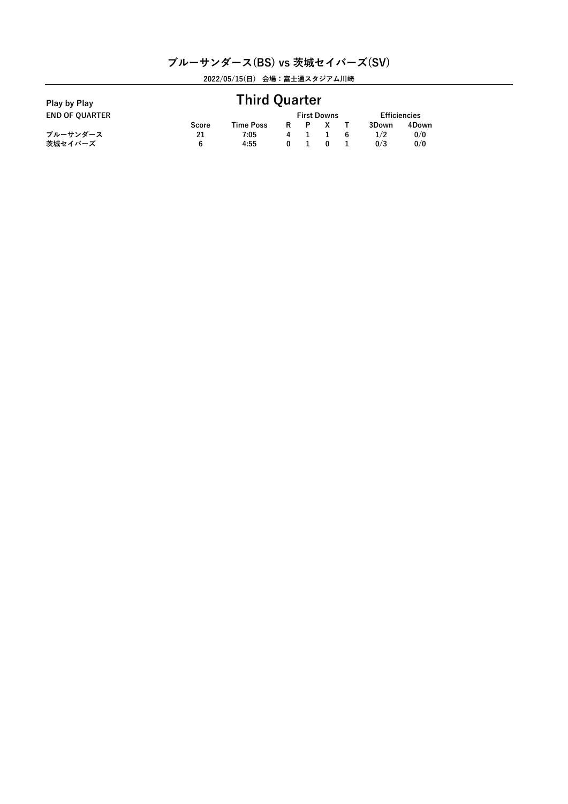| Play by Play          | <b>Third Quarter</b> |           |   |  |                    |   |                     |       |  |
|-----------------------|----------------------|-----------|---|--|--------------------|---|---------------------|-------|--|
| <b>END OF QUARTER</b> |                      |           |   |  | <b>First Downs</b> |   | <b>Efficiencies</b> |       |  |
|                       | Score                | Time Poss | R |  |                    |   | 3Down               | 4Down |  |
| ブルーサンダース              | 21                   | 7:05      | 4 |  |                    | 6 | 1/2                 | 0/0   |  |
| 茨城セイバーズ               | 6                    | 4:55      | 0 |  | $\Omega$           |   | 0/3                 | 0/0   |  |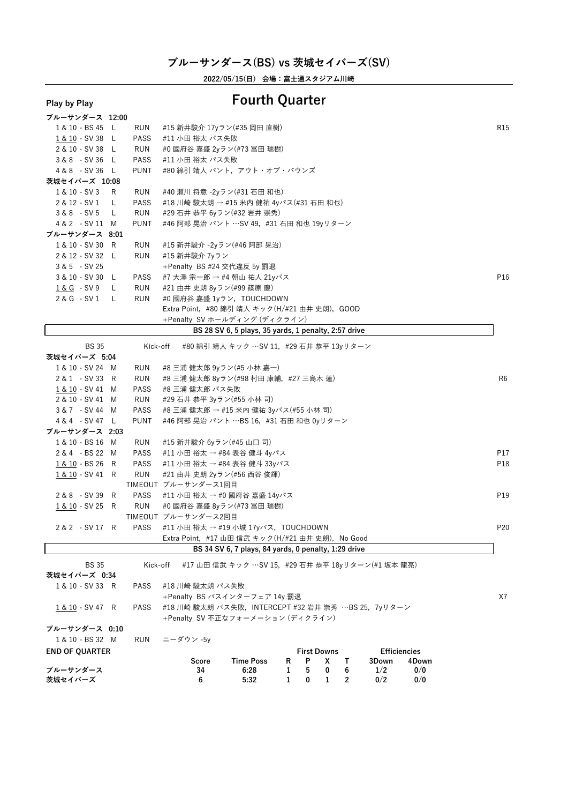**2022/05/15(日) 会場:富士通スタジアム川崎**

# **Play by Play Fourth Quarter**

| ブルーサンダース 12:00         |     |             |                                                                 |                 |
|------------------------|-----|-------------|-----------------------------------------------------------------|-----------------|
| 1 & 10 - BS 45 L       |     | RUN         | #15 新井駿介 17yラン(#35 岡田 直樹)                                       | R <sub>15</sub> |
| 1 & 10 - SV 38 L       |     | PASS        | #11 小田 裕太 パス失敗                                                  |                 |
| 2 & 10 - SV 38 L       |     | <b>RUN</b>  | #0 國府谷 嘉盛 2yラン(#73 冨田 瑞樹)                                       |                 |
| 3 & 8 - SV 36 L        |     | <b>PASS</b> | #11 小田 裕太 パス失敗                                                  |                 |
| 4 & 8 - SV 36 L        |     | <b>PUNT</b> | #80 綿引 靖人 パント,アウト・オブ・バウンズ                                       |                 |
| 茨城セイバーズ 10:08          |     |             |                                                                 |                 |
| 1 & 10 - SV 3          | R   | RUN         | #40 瀬川 将意 -2yラン(#31 石田 和也)                                      |                 |
| 2 & 12 - SV 1          | L.  | PASS        | #18 川崎 駿太朗 → #15 米内 健祐 4yパス(#31 石田 和也)                          |                 |
| $3 & 8 - SV 5$         | L.  | RUN         | #29 石井 恭平 6yラン(#32 岩井 崇秀)                                       |                 |
| 4 & 2 - SV 11 M        |     | PUNT        | #46 阿部 晃治 パント …SV 49,#31 石田 和也 19yリターン                          |                 |
| ブルーサンダース 8:01          |     |             |                                                                 |                 |
| 1 & 10 - SV 30 R       |     | RUN         | #15 新井駿介 -2yラン(#46 阿部 晃治)                                       |                 |
| 2 & 12 - SV 32 L       |     | <b>RUN</b>  | #15 新井駿介 7yラン                                                   |                 |
| $3 & 5 - SV 25$        |     |             | +Penalty BS #24 交代違反 5y 罰退                                      |                 |
| 3 & 10 - SV 30 L       |     | PASS        | #7 大澤 宗一郎 → #4 朝山 祐人 21yパス                                      | P16             |
| <u>1&amp; G</u> - SV 9 | L.  | RUN         | #21 由井 史朗 8yラン(#99 篠原 慶)                                        |                 |
| 2 & G - SV 1           | - L | <b>RUN</b>  | #0 國府谷 嘉盛 1yラン, TOUCHDOWN                                       |                 |
|                        |     |             | Extra Point, #80 綿引 靖人 キック(H/#21 由井 史朗), GOOD                   |                 |
|                        |     |             | +Penalty SV ホールディング (ディクライン)                                    |                 |
|                        |     |             | BS 28 SV 6, 5 plays, 35 yards, 1 penalty, 2:57 drive            |                 |
|                        |     |             |                                                                 |                 |
| BS 35                  |     |             | Kick-off #80 綿引 靖人 キック …SV 11,#29 石井 恭平 13yリターン                 |                 |
| 茨城セイバーズ 5:04           |     |             |                                                                 |                 |
| 1 & 10 - SV 24 M       |     | RUN         | #8 三浦 健太郎 9yラン(#5 小林 嘉一)                                        |                 |
| 2 & 1 - SV 33 R        |     | <b>RUN</b>  | #8 三浦 健太郎 8yラン(#98 村田 康輔, #27 三島木 蓮)                            | R <sub>6</sub>  |
| 1 & 10 - SV 41 M       |     | <b>PASS</b> | #8 三浦 健太郎 パス失敗                                                  |                 |
| 2 & 10 - SV 41 M       |     | RUN         | #29 石井 恭平 3yラン(#55 小林 司)                                        |                 |
| 3&7 - SV 44 M          |     | PASS        | #8 三浦 健太郎 → #15 米内 健祐 3yパス(#55 小林 司)                            |                 |
| 4&4 - SV47 L           |     | <b>PUNT</b> | #46 阿部 晃治 パント …BS 16, #31 石田 和也 0yリターン                          |                 |
| ブルーサンダース 2:03          |     |             |                                                                 |                 |
| 1 & 10 - BS 16 M       |     | RUN         | #15 新井駿介 6yラン(#45 山口 司)                                         |                 |
| 2 & 4 - BS 22 M        |     | PASS        | #11 小田 裕太 → #84 表谷 健斗 4yパス                                      | P17             |
| 1 & 10 - BS 26 R       |     | PASS        | #11 小田 裕太 → #84 表谷 健斗 33yパス                                     | P18             |
| 1 & 10 - SV 41 R       |     | RUN         | #21 由井 史朗 2yラン(#56 西谷 俊輝)                                       |                 |
|                        |     |             | TIMEOUT ブルーサンダース1回目                                             |                 |
| 2 & 8 - SV 39 R        |     | <b>PASS</b> | #11 小田 裕太 → #0 國府谷 嘉盛 14yパス                                     | P <sub>19</sub> |
| 1 & 10 - SV 25 R       |     | RUN         | #0 國府谷 嘉盛 8yラン(#73 冨田 瑞樹)                                       |                 |
|                        |     |             | TIMEOUT ブルーサンダース2回目                                             |                 |
| 2 & 2 - SV 17 R        |     | <b>PASS</b> | #11 小田 裕太 → #19 小城 17yパス,TOUCHDOWN                              | P20             |
|                        |     |             | Extra Point,#17 山田 信武 キック(H/#21 由井 史朗),No Good                  |                 |
|                        |     |             | BS 34 SV 6, 7 plays, 84 yards, 0 penalty, 1:29 drive            |                 |
| <b>BS 35</b>           |     | Kick-off    | #17 山田 信武 キック …SV 15,#29 石井 恭平 18yリターン(#1 坂本 龍亮)                |                 |
| 茨城セイバーズ 0:34           |     |             |                                                                 |                 |
| 1 & 10 - SV 33 R       |     | PASS        | #18 川崎 駿太朗 パス失敗                                                 |                 |
|                        |     |             | +Penalty BS パスインターフェア 14y 罰退                                    | X7              |
| 1 & 10 - SV 47 R       |     | PASS        | #18 川崎 駿太朗 パス失敗,INTERCEPT #32 岩井 崇秀 …BS 25,7yリターン               |                 |
|                        |     |             | +Penalty SV 不正なフォーメーション (ディクライン)                                |                 |
| ブルーサンダース 0:10          |     |             |                                                                 |                 |
| 1 & 10 - BS 32 M       |     | RUN         | ニーダウン -5v                                                       |                 |
| <b>END OF QUARTER</b>  |     |             | <b>First Downs</b><br><b>Efficiencies</b>                       |                 |
|                        |     |             | <b>Time Poss</b><br>P<br>4Down<br>Score<br>R<br>x<br>Т<br>3Down |                 |
| ブルーサンダース               |     |             | 6:28<br>5<br>0<br>1/2<br>0/0<br>34<br>1<br>6                    |                 |
| 茨城セイバーズ                |     |             | 0<br>1<br>$\overline{2}$<br>0/2<br>6<br>5:32<br>1<br>0/0        |                 |
|                        |     |             |                                                                 |                 |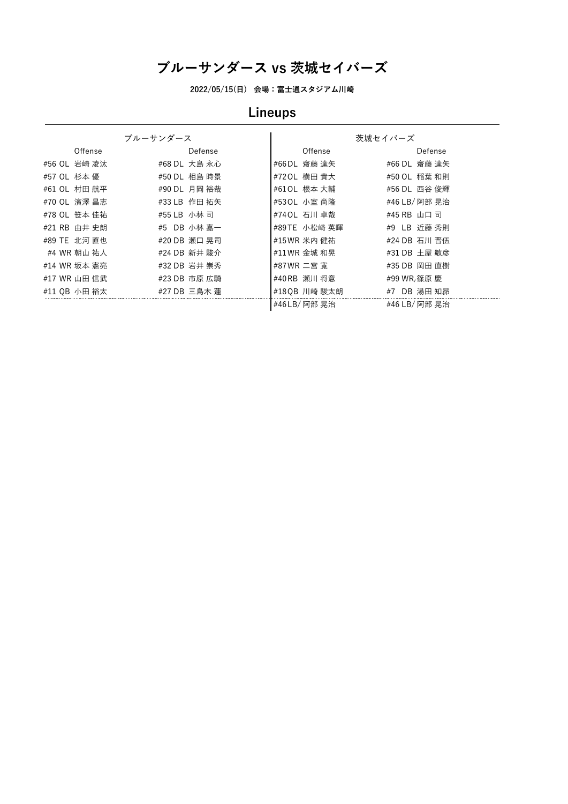**2022/05/15(日) 会場:富士通スタジアム川崎**

# **Lineups**

|              | ブルーサンダース     |              | 茨城セイバーズ       |
|--------------|--------------|--------------|---------------|
| Offense      | Defense      | Offense      | Defense       |
| #56 OL 岩崎 凌汰 | #68 DL 大島 永心 | #66DL 齋藤 達矢  | #66 DL 齋藤 達矢  |
| #57 OL 杉本 優  | #50 DL 相島 時景 | #720L 横田 貴大  | #50 OL 稲葉 和則  |
| #61 OL 村田 航平 | #90 DL 月岡 裕哉 | #610L 根本 大輔  | #56 DL 西谷 俊輝  |
| #70 OL 濱澤 昌志 | #33 LB 作田 拓矢 | #530L 小室 尚隆  | #46 LB/ 阿部 晃治 |
| #78 OL 笹本 佳祐 | #55 LB 小林司   | #740L 石川 卓哉  | #45 RB 山口 司   |
| #21 RB 由井 史朗 | #5 DB 小林 嘉一  | #89TE 小松崎 英暉 | #9 LB 近藤 秀則   |
| #89 TE 北河 直也 | #20 DB 瀬口 晃司 | #15 WR 米内 健祐 | #24 DB 石川 晋伍  |
| #4 WR 朝山 祐人  | #24 DB 新井 駿介 | #11 WR 金城 和晃 | #31 DB 土屋 敏彦  |
| #14 WR 坂本 憲亮 | #32 DB 岩井 崇秀 | #87WR 二宮 寛   | #35 DB 岡田 直樹  |
| #17 WR 山田 信武 | #23 DB 市原 広騎 | #40RB 瀬川 将意  | #99 WR,篠原 慶   |
| #11 OB 小田 裕太 | #27 DB 三島木 蓮 | #180B 川崎 駿太朗 | #7 DB 湯田 知昴   |
|              |              | #46LB/ 阿部 晃治 | #46 LB/ 阿部 晃治 |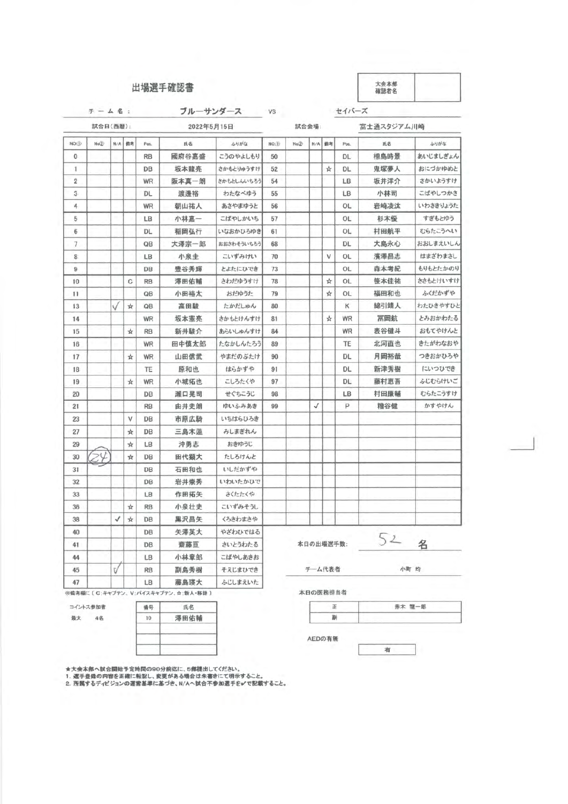### 場選手確認書

大会本部<br>確認者名

正 赤木 龍一郎

有

AEDの有無

副

コイントス参加者 最大 4名

番号 氏名

 $10$ 

★大会本部へ試合開始予定時間の90分前迄に、5部提出してください。<br>1. 選手登録の内容を正確に転記し、変更がある場合は朱書きにて明示すること。<br>2. 所属するディビジョンの運営基準に基づき、N/Aへ試合不参加選手を✔で記載する

澤田佑輔

| ブルーサンダース<br>$F - 44$ : |          |                                |        |           |            |            | <b>VS</b>       |       |              |           | セイバーズ      |      |          |  |  |
|------------------------|----------|--------------------------------|--------|-----------|------------|------------|-----------------|-------|--------------|-----------|------------|------|----------|--|--|
|                        | 試合日(西暦): |                                |        |           | 2022年5月15日 |            |                 |       | 試合会場:        |           | 富士通スタジアム川崎 |      |          |  |  |
| NO.D                   | No(2)    |                                | N/A 備考 | Pos.      | 氏名         | ふりがな       | NO <sub>3</sub> | No(2) | N/A          | 備考        | Pos.       | 氏名   | ふりがな     |  |  |
| $\circ$                |          | こうのやよしもり<br><b>RB</b><br>國府谷嘉盛 |        | 50        |            |            |                 | DL    | 相島時景         | あいじましぎょん  |            |      |          |  |  |
| $\mathbf{1}$           |          |                                |        | DB        | 坂本龍亮       | さかもとりゅうすけ  | 52              |       |              | ☆         | DL         | 鬼塚夢人 | おにづかゆめと  |  |  |
| $\overline{2}$         |          |                                |        | <b>WR</b> | 阪本真一朗      | さかもとしんいちろう | 54              |       |              |           | LB         | 坂井洋介 | さかいようすけ  |  |  |
| 3                      |          |                                |        | <b>DL</b> | 渡邊裕        | わたなべゆう     | 55              |       |              |           | <b>LB</b>  | 小林司  | こばやしつかさ  |  |  |
| 4                      |          |                                |        | WR        | 朝山祐人       | あさやまゆうと    | 56              |       |              |           | OL         | 岩崎凌汰 | いわさきりょうた |  |  |
| 5                      |          |                                |        | LB        | 小林嘉一       | こばやしかいち    | 57              |       |              |           | <b>OL</b>  | 杉本優  | すぎもとゆう   |  |  |
| 6                      |          |                                |        | DL        | 稲岡弘行       | いなおかひろゆき   | 61              |       |              |           | <b>OL</b>  | 村田航平 | むらたこうへい  |  |  |
| $\tau$                 |          |                                |        | QΒ        | 大澤宗一郎      | おおさわそういちろう | 68              |       |              |           | DL.        | 大島永心 | おおしまえいしん |  |  |
| 8                      |          |                                |        | <b>LB</b> | 小泉圭        | こいずみけい     | 70              |       |              | v         | <b>OL</b>  | 濱澤昌志 | はまざわまさし  |  |  |
| 9                      |          |                                |        | DB        | 豊谷秀輝       | とよたにひでき    | 73              |       |              |           | OL         | 森本考紀 | もりもとたかのり |  |  |
| 10                     |          |                                | C      | <b>RB</b> | 澤田佑輔       | さわだゆうすけ    | 78              |       |              | ☆         | <b>OL</b>  | 笹本佳祐 | ささもとけいすけ |  |  |
| 11                     |          |                                |        | QB        | 小田裕太       | おだゆうた      | 79              |       |              | ☆         | OL         | 福田和也 | ふくだかずや   |  |  |
| 13                     |          |                                | ☆      | QB        | 高田駿        | たかだしゅん     | 80              |       |              |           | к          | 綿引靖人 | わたひきやすひと |  |  |
| 14                     |          |                                |        | <b>WR</b> | 坂本憲亮       | さかもとけんすけ   | 81              |       |              | ☆         | WR         | 冨岡航  | とみおかわたる  |  |  |
| 15                     |          |                                | ☆      | <b>RB</b> | 新井駿介       | あらいしゅんすけ   | 84              |       |              |           | WR         | 表谷健斗 | おもてやけんと  |  |  |
| 16                     |          |                                |        | WR        | 田中慎太郎      | たなかしんたろう   | 89              |       |              |           | TE         | 北河直也 | きたがわなおや  |  |  |
| 17                     |          |                                | ☆      | WR        | 山田信武       | やまだのぶたけ    | 90              |       |              |           | DL         | 月岡裕哉 | つきおかひろや  |  |  |
| 18                     |          |                                |        | TE        | 原和也        | はらかずや      | 91              |       |              |           | DL         | 新津秀樹 | にいつひでき   |  |  |
| 19                     |          |                                | ☆      | WR        | 小城拓也       | こしろたくや     | 97              |       |              |           | DL         | 藤村恵吾 | ふじむらけいご  |  |  |
| 20                     |          |                                |        | DB        | 瀬口晃司       | せぐちこうじ     | 98              |       |              |           | LB         | 村田康輔 | むらたこうすけ  |  |  |
| 21                     |          |                                |        | <b>RB</b> | 由井史朗       | ゆいふみあき     | 99              |       | $\checkmark$ |           | P          | 糟谷健  | かすやけん    |  |  |
| 23                     |          |                                | ν      | DB        | 市原広騎       | いちはらひろき    |                 |       |              |           |            |      |          |  |  |
| 27                     |          |                                | ☆      | DB        | 三島木蓮       | みしまぎれん     |                 |       |              |           |            |      |          |  |  |
| 29                     |          |                                | ☆      | LB        | 沖勇志        | おきゆうじ      |                 |       |              |           |            |      |          |  |  |
| 30                     |          |                                | ☆      | DB        | 田代顕大       | たしろけんと     |                 |       |              |           |            |      |          |  |  |
| 31                     |          |                                |        | <b>DB</b> | 石田和也       | いしだかずや     |                 |       |              |           |            |      |          |  |  |
| 32                     |          |                                |        | DB        | 岩井崇秀       | いわいたかひで    |                 |       |              |           |            |      |          |  |  |
| 33                     |          |                                |        | LB        | 作田拓矢       | さくたたくや     |                 |       |              |           |            |      |          |  |  |
| 36                     |          |                                | ☆      | <b>RB</b> | 小泉壮史       | こいずみそうし    |                 |       |              |           |            |      |          |  |  |
| 38                     |          | √                              | ☆      | <b>DB</b> | 黒沢昌矢       | くろさわまさや    |                 |       |              |           |            |      |          |  |  |
| 40                     |          |                                |        | <b>DB</b> | 矢澤英大       | やざわひではる    |                 |       |              |           |            |      |          |  |  |
| 41                     |          |                                |        | DB        | 齋藤亘        | さいとうわたる    |                 |       |              | 本日の出場選手数: |            | 52 名 |          |  |  |
| 44                     |          |                                |        | LB        | 小林章郎       | こばやしあきお    |                 |       |              |           |            |      |          |  |  |
| 45                     |          | τ/                             |        | <b>RB</b> | 副島秀樹       | そえじまひでき    |                 |       |              | チーム代表者    |            |      | 小町 均     |  |  |
| 47                     |          |                                |        | LВ        | 藤島瑛大       | ふじしまえいた    |                 |       |              |           |            |      |          |  |  |